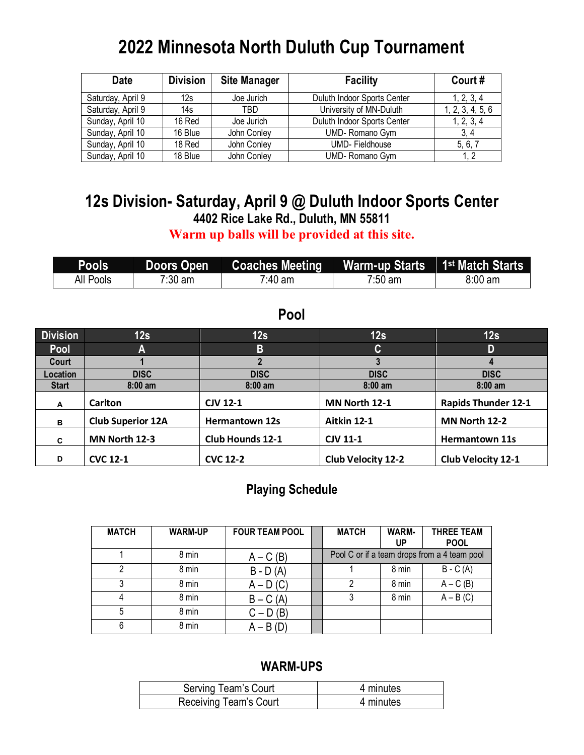# **2022 Minnesota North Duluth Cup Tournament**

| <b>Date</b>       | <b>Division</b> | <b>Site Manager</b> | <b>Facility</b>             | Court#           |
|-------------------|-----------------|---------------------|-----------------------------|------------------|
| Saturday, April 9 | 12s             | Joe Jurich          | Duluth Indoor Sports Center | 1, 2, 3, 4       |
| Saturday, April 9 | 14s             | TBD                 | University of MN-Duluth     | 1, 2, 3, 4, 5, 6 |
| Sunday, April 10  | 16 Red          | Joe Jurich          | Duluth Indoor Sports Center | 1, 2, 3, 4       |
| Sunday, April 10  | 16 Blue         | John Conley         | UMD-Romano Gym              | 3.4              |
| Sunday, April 10  | 18 Red          | John Conley         | <b>UMD-Fieldhouse</b>       | 5, 6, 7          |
| Sunday, April 10  | 18 Blue         | John Conley         | UMD-Romano Gym              |                  |

# **12s Division- Saturday, April 9 @ Duluth Indoor Sports Center 4402 Rice Lake Rd., Duluth, MN 55811**

**Warm up balls will be provided at this site.**

| <b>Pools</b> | Doors Open        | <b>Coaches Meeting</b> | Warm-up Starts 1st Match Starts |                   |
|--------------|-------------------|------------------------|---------------------------------|-------------------|
| All Pools    | $7:30 \text{ am}$ | $7.40$ am              | $7:50 \text{ am}$               | $8:00 \text{ am}$ |

### **Pool**

| <b>Division</b> | 12s                      | 12s                     | 12s                       | 12s                        |
|-----------------|--------------------------|-------------------------|---------------------------|----------------------------|
| Pool            | A                        | B                       | $\mathsf{C}$              | D                          |
| Court           |                          |                         |                           |                            |
| Location        | <b>DISC</b>              | <b>DISC</b>             | <b>DISC</b>               | <b>DISC</b>                |
| <b>Start</b>    | $8:00 \text{ am}$        | $8:00 \text{ am}$       | $8:00$ am                 | $8:00 \text{ am}$          |
| A               | Carlton                  | <b>CJV 12-1</b>         | MN North 12-1             | <b>Rapids Thunder 12-1</b> |
| в               | <b>Club Superior 12A</b> | <b>Hermantown 12s</b>   | Aitkin 12-1               | MN North 12-2              |
| C               | MN North 12-3            | <b>Club Hounds 12-1</b> | <b>CJV 11-1</b>           | <b>Hermantown 11s</b>      |
| D               | <b>CVC 12-1</b>          | <b>CVC 12-2</b>         | <b>Club Velocity 12-2</b> | <b>Club Velocity 12-1</b>  |

### **Playing Schedule**

| <b>MATCH</b> | <b>WARM-UP</b> | <b>FOUR TEAM POOL</b> | <b>MATCH</b>                                 | <b>WARM-</b><br>UP | <b>THREE TEAM</b><br><b>POOL</b> |
|--------------|----------------|-----------------------|----------------------------------------------|--------------------|----------------------------------|
|              | 8 min          | $A - C(B)$            | Pool C or if a team drops from a 4 team pool |                    |                                  |
| റ            | 8 min          | $B - D(A)$            |                                              | 8 min              | $B - C(A)$                       |
|              | 8 min          | $A - D(C)$            |                                              | 8 min              | $A - C(B)$                       |
|              | 8 min          | $B - C(A)$            |                                              | 8 min              | $\overline{A} - B(C)$            |
|              | 8 min          | $C - D(B)$            |                                              |                    |                                  |
| 6            | 8 min          | $A - B(D)$            |                                              |                    |                                  |

| Serving Team's Court   | 4 minutes |
|------------------------|-----------|
| Receiving Team's Court | 4 minutes |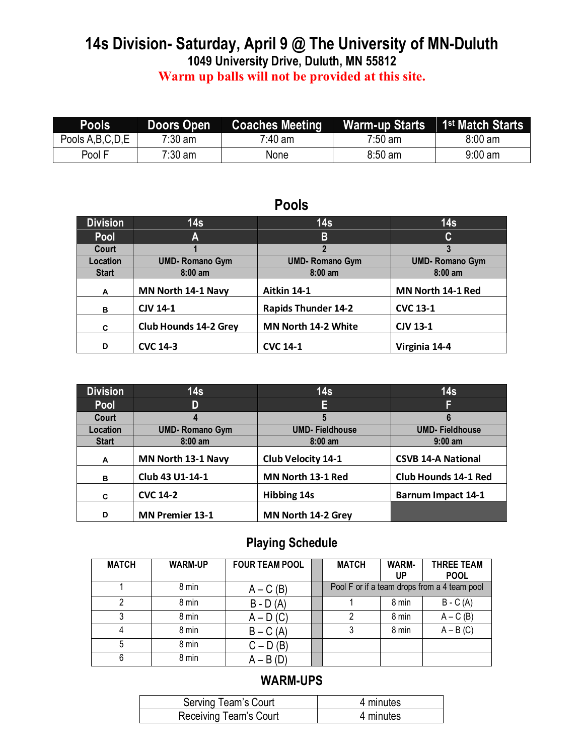## **14s Division- Saturday, April 9 @ The University of MN-Duluth 1049 University Drive, Duluth, MN 55812 Warm up balls will not be provided at this site.**

| <b>Pools</b>        | <b>Doors Open</b> | <b>Coaches Meeting</b> | <b>Warm-up Starts</b> | 1 <sup>st</sup> Match Starts |
|---------------------|-------------------|------------------------|-----------------------|------------------------------|
| Pools A, B, C, D, E | $7:30 \text{ am}$ | <sup>7</sup> :40 am    | 7:50 am               | $8:00 \text{ am}$            |
| Pool F              | 7:30 am           | None                   | $8:50$ am             | $9:00 \text{ am}$            |

## **Pools**

| <b>Division</b> | 14 <sub>s</sub>              | 14s                        | 14s                   |
|-----------------|------------------------------|----------------------------|-----------------------|
| <b>Pool</b>     | A                            | B                          | C                     |
| Court           |                              |                            |                       |
| Location        | <b>UMD-Romano Gym</b>        | <b>UMD-Romano Gym</b>      | <b>UMD-Romano Gym</b> |
| <b>Start</b>    | $8:00$ am                    | $8:00$ am                  | $8:00$ am             |
| A               | MN North 14-1 Navy           | Aitkin 14-1                | MN North 14-1 Red     |
| B               | <b>CJV 14-1</b>              | <b>Rapids Thunder 14-2</b> | <b>CVC 13-1</b>       |
| C               | <b>Club Hounds 14-2 Grey</b> | MN North 14-2 White        | <b>CJV 13-1</b>       |
| D               | <b>CVC 14-3</b>              | <b>CVC 14-1</b>            | Virginia 14-4         |

| <b>Division</b> | 14s                    | 14s                       | 14 <sub>s</sub>             |
|-----------------|------------------------|---------------------------|-----------------------------|
| <b>Pool</b>     | D                      | E                         |                             |
| Court           | 4                      |                           | 6                           |
| Location        | <b>UMD- Romano Gym</b> | <b>UMD-Fieldhouse</b>     | <b>UMD-Fieldhouse</b>       |
| <b>Start</b>    | $8:00$ am              | $8:00$ am                 | $9:00$ am                   |
| A               | MN North 13-1 Navy     | <b>Club Velocity 14-1</b> | <b>CSVB 14-A National</b>   |
| B               | Club 43 U1-14-1        | MN North 13-1 Red         | <b>Club Hounds 14-1 Red</b> |
| C               | <b>CVC 14-2</b>        | <b>Hibbing 14s</b>        | Barnum Impact 14-1          |
| D               | <b>MN Premier 13-1</b> | MN North 14-2 Grey        |                             |

# **Playing Schedule**

| <b>MATCH</b> | <b>WARM-UP</b> | <b>FOUR TEAM POOL</b> | <b>MATCH</b>                                 | <b>WARM-</b><br>UP | <b>THREE TEAM</b><br><b>POOL</b> |
|--------------|----------------|-----------------------|----------------------------------------------|--------------------|----------------------------------|
|              | 8 min          | $A - C(B)$            | Pool F or if a team drops from a 4 team pool |                    |                                  |
|              | 8 min          | $B - D(A)$            |                                              | 8 min              | $B - C(A)$                       |
|              | 8 min          | $A - D(C)$            |                                              | 8 min              | $A - C(B)$                       |
|              | 8 min          | $B - C(A)$            |                                              | 8 min              | $A - B(C)$                       |
| 5            | 8 min          | $C - D(B)$            |                                              |                    |                                  |
| 6            | 8 min          | $A - B(D)$            |                                              |                    |                                  |

| Serving Team's Court   | 4 minutes |
|------------------------|-----------|
| Receiving Team's Court | 4 minutes |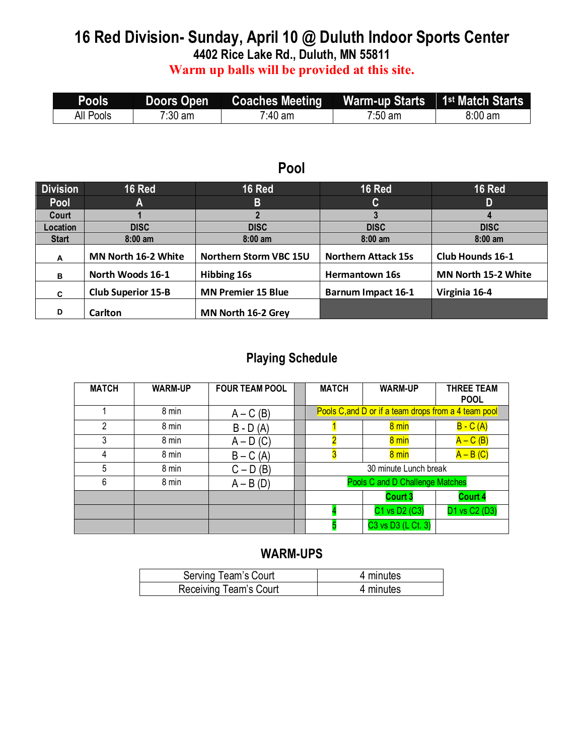# **16 Red Division- Sunday, April 10 @ Duluth Indoor Sports Center**

**4402 Rice Lake Rd., Duluth, MN 55811**

**Warm up balls will be provided at this site.**

| <b>Pools</b> | Doors Open        | <b>Coaches Meeting Warm-up Starts 1st Match Starts</b> |         |         |
|--------------|-------------------|--------------------------------------------------------|---------|---------|
| All Pools    | $7:30 \text{ am}$ | <sup>7</sup> :40 am                                    | 7:50 am | 8:00 am |

#### **Pool**

| <b>Division</b> | 16 Red                    | <b>16 Red</b>             | 16 Red                     | <b>16 Red</b>              |
|-----------------|---------------------------|---------------------------|----------------------------|----------------------------|
| <b>Pool</b>     | A                         | B                         | C                          | D                          |
| Court           |                           |                           |                            |                            |
| Location        | <b>DISC</b>               | <b>DISC</b>               | <b>DISC</b>                | <b>DISC</b>                |
| <b>Start</b>    | $8:00$ am                 | $8:00$ am                 | $8:00$ am                  | $8:00$ am                  |
| A               | MN North 16-2 White       | Northern Storm VBC 15U    | <b>Northern Attack 15s</b> | Club Hounds 16-1           |
| в               | North Woods 16-1          | <b>Hibbing 16s</b>        | <b>Hermantown 16s</b>      | <b>MN North 15-2 White</b> |
| C               | <b>Club Superior 15-B</b> | <b>MN Premier 15 Blue</b> | <b>Barnum Impact 16-1</b>  | Virginia 16-4              |
| D               | Carlton                   | MN North 16-2 Grey        |                            |                            |

#### **Playing Schedule**

| <b>MATCH</b> | <b>WARM-UP</b> | <b>FOUR TEAM POOL</b> | <b>MATCH</b>                    | <b>WARM-UP</b>                                       | <b>THREE TEAM</b><br><b>POOL</b> |  |
|--------------|----------------|-----------------------|---------------------------------|------------------------------------------------------|----------------------------------|--|
|              | 8 min          | $A - C(B)$            |                                 | Pools C, and D or if a team drops from a 4 team pool |                                  |  |
| 2            | 8 min          | $B - D(A)$            |                                 | 8 min                                                | $B - C(A)$                       |  |
| 3            | 8 min          | $A - D(C)$            |                                 | 8 min                                                | $A - C (B)$                      |  |
| 4            | 8 min          | $B - C(A)$            |                                 | 8 min                                                | $A - B(C)$                       |  |
| 5            | 8 min          | $C - D(B)$            | 30 minute Lunch break           |                                                      |                                  |  |
| 6            | 8 min          | $A - B(D)$            | Pools C and D Challenge Matches |                                                      |                                  |  |
|              |                |                       |                                 | <b>Court 3</b>                                       | <b>Court 4</b>                   |  |
|              |                |                       |                                 | C1 vs D2 (C3)                                        | D1 vs C2 (D3)                    |  |
|              |                |                       |                                 | C3 vs D3 (L Ct. 3)                                   |                                  |  |

| Serving Team's Court   | 4 minutes |
|------------------------|-----------|
| Receiving Team's Court | 4 minutes |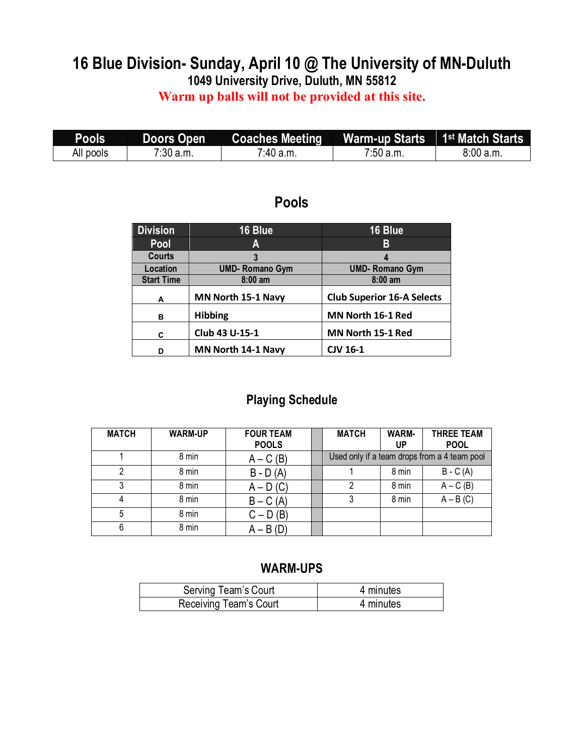# **16 Blue Division- Sunday, April 10 @ The University of MN-Duluth 1049 University Drive, Duluth, MN 55812**

**Warm up balls will not be provided at this site.**

| Pools     | Doors Open | Coaches Meeting | Warm-up Starts 1 <sup>st</sup> Match Starts |           |
|-----------|------------|-----------------|---------------------------------------------|-----------|
| All pools | 7:30 a.m.  | $7.40$ a.m.     | $7:50$ a.m.                                 | 8:00 a.m. |

## **Pools**

| <b>Division</b>   | 16 Blue                   | 16 Blue                           |
|-------------------|---------------------------|-----------------------------------|
| Pool              | A                         | В                                 |
| <b>Courts</b>     | 3                         |                                   |
| Location          | <b>UMD-Romano Gym</b>     | <b>UMD-Romano Gym</b>             |
| <b>Start Time</b> | $8:00$ am                 | $8:00$ am                         |
| A                 | MN North 15-1 Navy        | <b>Club Superior 16-A Selects</b> |
| в                 | <b>Hibbing</b>            | MN North 16-1 Red                 |
| C                 | Club 43 U-15-1            | MN North 15-1 Red                 |
| D                 | <b>MN North 14-1 Navy</b> | <b>CJV 16-1</b>                   |

#### **Playing Schedule**

| <b>MATCH</b> | <b>WARM-UP</b> | <b>FOUR TEAM</b><br><b>POOLS</b> | <b>MATCH</b> | <b>WARM-</b><br>UP | <b>THREE TEAM</b><br><b>POOL</b>             |
|--------------|----------------|----------------------------------|--------------|--------------------|----------------------------------------------|
|              | 8 min          | $A - C(B)$                       |              |                    | Used only if a team drops from a 4 team pool |
|              | 8 min          | $B - D(A)$                       |              | 8 min              | $B - C(A)$                                   |
|              | 8 min          | $A - D(C)$                       |              | 8 min              | $A - C(B)$                                   |
|              | 8 min          | $B - C(A)$                       |              | 8 min              | $A - B(C)$                                   |
| 5            | 8 min          | $C - D(B)$                       |              |                    |                                              |
| 6            | 8 min          | $A - B(D)$                       |              |                    |                                              |

| Serving Team's Court   | 4 minutes |
|------------------------|-----------|
| Receiving Team's Court | 4 minutes |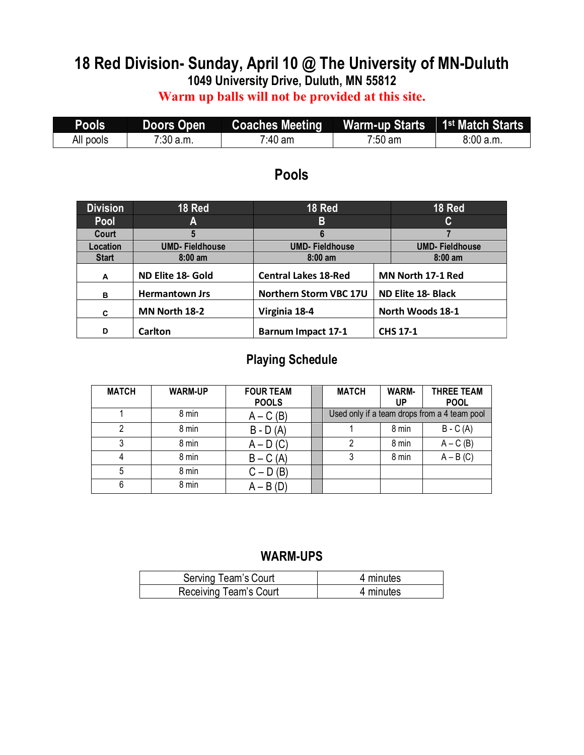# **18 Red Division- Sunday, April 10 @ The University of MN-Duluth 1049 University Drive, Duluth, MN 55812**

## **Warm up balls will not be provided at this site.**

| Pools     | Doors Open | Coaches Meeting | Warm-up Starts 1 <sup>st</sup> Match Starts |          |
|-----------|------------|-----------------|---------------------------------------------|----------|
| All pools | 7:30 a.m.  | 7:40 am         | $7:50 \text{ am}$                           | 8:00a.m. |

### **Pools**

| <b>Division</b> | 18 Red                | 18 Red                      |                   | 18 Red                    |
|-----------------|-----------------------|-----------------------------|-------------------|---------------------------|
| Pool            | Α                     | B                           |                   | C                         |
| Court           | 5                     | 6                           |                   |                           |
| Location        | <b>UMD-Fieldhouse</b> | <b>UMD-Fieldhouse</b>       |                   | <b>UMD-Fieldhouse</b>     |
| <b>Start</b>    | $8:00 \text{ am}$     | $8:00$ am                   |                   | $8:00$ am                 |
| A               | ND Elite 18- Gold     | <b>Central Lakes 18-Red</b> | MN North 17-1 Red |                           |
| B               | <b>Hermantown Jrs</b> | Northern Storm VBC 17U      |                   | <b>ND Elite 18- Black</b> |
| C               | MN North 18-2         | Virginia 18-4               |                   | North Woods 18-1          |
| D               | <b>Carlton</b>        | <b>Barnum Impact 17-1</b>   |                   | <b>CHS 17-1</b>           |

# **Playing Schedule**

| <b>MATCH</b> | <b>WARM-UP</b> | <b>FOUR TEAM</b><br><b>POOLS</b> | <b>MATCH</b> | <b>WARM-</b><br>UP | <b>THREE TEAM</b><br><b>POOL</b>             |
|--------------|----------------|----------------------------------|--------------|--------------------|----------------------------------------------|
|              | 8 min          | $A - C(B)$                       |              |                    | Used only if a team drops from a 4 team pool |
|              | 8 min          | $B - D(A)$                       |              | 8 min              | $B - C(A)$                                   |
| 3            | 8 min          | $A - D(C)$                       | າ            | 8 min              | $A - C(B)$                                   |
|              | 8 min          | $B - C(A)$                       |              | 8 min              | $A - B(C)$                                   |
| 5            | 8 min          | $C - D(B)$                       |              |                    |                                              |
| 6            | 8 min          | $A - B(D)$                       |              |                    |                                              |

| Serving Team's Court   | 4 minutes |
|------------------------|-----------|
| Receiving Team's Court | 4 minutes |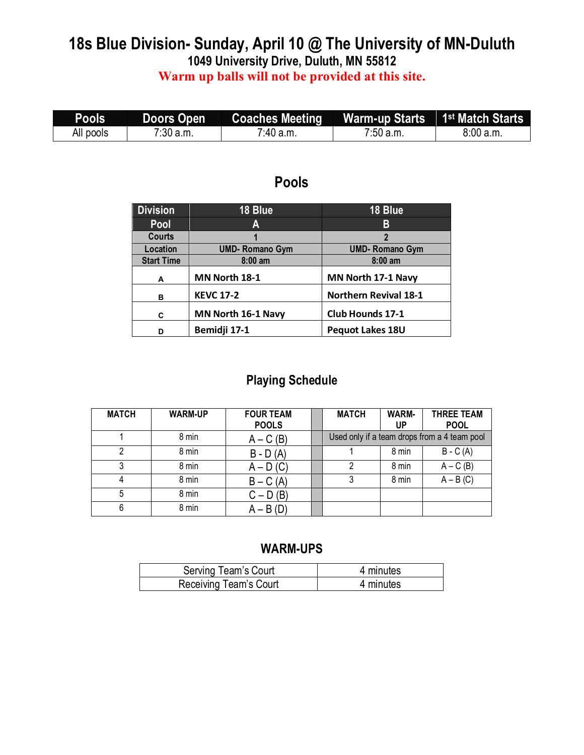# **18s Blue Division- Sunday, April 10 @ The University of MN-Duluth 1049 University Drive, Duluth, MN 55812**

**Warm up balls will not be provided at this site.**

| Pools     | Doors Open  | <b>Coaches Meeting</b> | Warm-up Starts 1st Match Starts |          |
|-----------|-------------|------------------------|---------------------------------|----------|
| All pools | $7:30$ a.m. | 7:40 a.m.              | $7:50$ a.m.                     | 8:00a.m. |

# **Pools**

| <b>Division</b>   | 18 Blue               | 18 Blue                      |
|-------------------|-----------------------|------------------------------|
| Pool              | Α                     | B                            |
| Courts            |                       | 2                            |
| Location          | <b>UMD-Romano Gym</b> | <b>UMD-Romano Gym</b>        |
| <b>Start Time</b> | $8:00$ am             | $8:00$ am                    |
| A                 | MN North 18-1         | MN North 17-1 Navy           |
| в                 | <b>KEVC 17-2</b>      | <b>Northern Revival 18-1</b> |
| C                 | MN North 16-1 Navy    | <b>Club Hounds 17-1</b>      |
| D                 | Bemidji 17-1          | Pequot Lakes 18U             |

# **Playing Schedule**

| <b>MATCH</b> | <b>WARM-UP</b> | <b>FOUR TEAM</b><br><b>POOLS</b> | <b>MATCH</b> | <b>WARM-</b><br>UP | <b>THREE TEAM</b><br><b>POOL</b>             |
|--------------|----------------|----------------------------------|--------------|--------------------|----------------------------------------------|
|              | 8 min          | $A - C(B)$                       |              |                    | Used only if a team drops from a 4 team pool |
|              | 8 min          | $B - D(A)$                       |              | 8 min              | $B - C(A)$                                   |
| ົ            | 8 min          | $A - D(C)$                       | っ            | 8 min              | $A - C(B)$                                   |
|              | 8 min          | $B - C(A)$                       |              | 8 min              | $A - B(C)$                                   |
| 5            | 8 min          | $C - D(B)$                       |              |                    |                                              |
| 6            | 8 min          | $A - B(D)$                       |              |                    |                                              |

| Serving Team's Court   | 4 minutes |
|------------------------|-----------|
| Receiving Team's Court | 4 minutes |